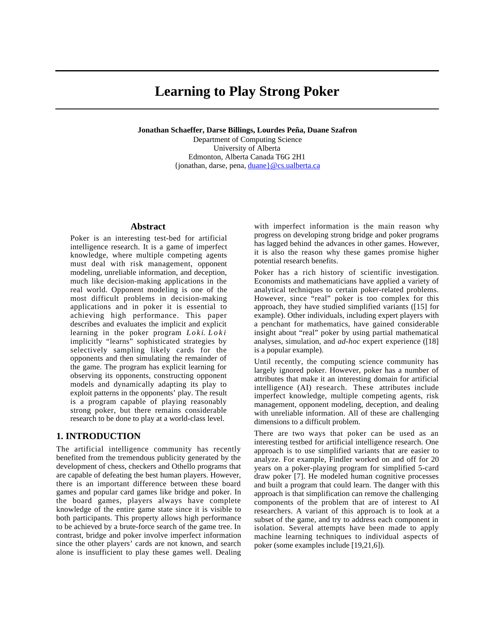# **Learning to Play Strong Poker**

**Jonathan Schaeffer, Darse Billings, Lourdes Peña, Duane Szafron**

Department of Computing Science University of Alberta Edmonton, Alberta Canada T6G 2H1 {jonathan, darse, pena, duane}@cs.ualberta.ca

#### **Abstract**

Poker is an interesting test-bed for artificial intelligence research. It is a game of imperfect knowledge, where multiple competing agents must deal with risk management, opponent modeling, unreliable information, and deception, much like decision-making applications in the real world. Opponent modeling is one of the most difficult problems in decision-making applications and in poker it is essential to achieving high performance. This paper describes and evaluates the implicit and explicit learning in the poker program *Loki*. *Loki* implicitly "learns" sophisticated strategies by selectively sampling likely cards for the opponents and then simulating the remainder of the game. The program has explicit learning for observing its opponents, constructing opponent models and dynamically adapting its play to exploit patterns in the opponents' play. The result is a program capable of playing reasonably strong poker, but there remains considerable research to be done to play at a world-class level.

#### **1. INTRODUCTION**

The artificial intelligence community has recently benefited from the tremendous publicity generated by the development of chess, checkers and Othello programs that are capable of defeating the best human players. However, there is an important difference between these board games and popular card games like bridge and poker. In the board games, players always have complete knowledge of the entire game state since it is visible to both participants. This property allows high performance to be achieved by a brute-force search of the game tree. In contrast, bridge and poker involve imperfect information since the other players' cards are not known, and search alone is insufficient to play these games well. Dealing

with imperfect information is the main reason why progress on developing strong bridge and poker programs has lagged behind the advances in other games. However, it is also the reason why these games promise higher potential research benefits.

Poker has a rich history of scientific investigation. Economists and mathematicians have applied a variety of analytical techniques to certain poker-related problems. However, since "real" poker is too complex for this approach, they have studied simplified variants ([15] for example). Other individuals, including expert players with a penchant for mathematics, have gained considerable insight about "real" poker by using partial mathematical analyses, simulation, and *ad-hoc* expert experience ([18] is a popular example).

Until recently, the computing science community has largely ignored poker. However, poker has a number of attributes that make it an interesting domain for artificial intelligence (AI) research. These attributes include imperfect knowledge, multiple competing agents, risk management, opponent modeling, deception, and dealing with unreliable information. All of these are challenging dimensions to a difficult problem.

There are two ways that poker can be used as an interesting testbed for artificial intelligence research. One approach is to use simplified variants that are easier to analyze. For example, Findler worked on and off for 20 years on a poker-playing program for simplified 5-card draw poker [7]. He modeled human cognitive processes and built a program that could learn. The danger with this approach is that simplification can remove the challenging components of the problem that are of interest to AI researchers. A variant of this approach is to look at a subset of the game, and try to address each component in isolation. Several attempts have been made to apply machine learning techniques to individual aspects of poker (some examples include [19,21,6]).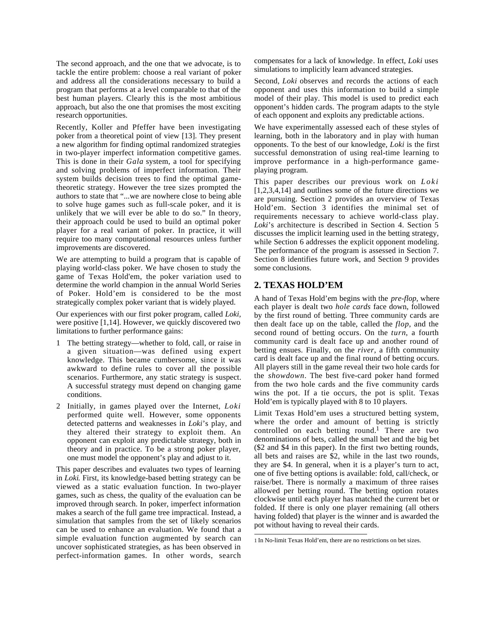The second approach, and the one that we advocate, is to tackle the entire problem: choose a real variant of poker and address all the considerations necessary to build a program that performs at a level comparable to that of the best human players. Clearly this is the most ambitious approach, but also the one that promises the most exciting research opportunities.

Recently, Koller and Pfeffer have been investigating poker from a theoretical point of view [13]. They present a new algorithm for finding optimal randomized strategies in two-player imperfect information competitive games. This is done in their *Gala* system, a tool for specifying and solving problems of imperfect information. Their system builds decision trees to find the optimal gametheoretic strategy. However the tree sizes prompted the authors to state that "...we are nowhere close to being able to solve huge games such as full-scale poker, and it is unlikely that we will ever be able to do so." In theory, their approach could be used to build an optimal poker player for a real variant of poker. In practice, it will require too many computational resources unless further improvements are discovered.

We are attempting to build a program that is capable of playing world-class poker. We have chosen to study the game of Texas Hold'em, the poker variation used to determine the world champion in the annual World Series of Poker. Hold'em is considered to be the most strategically complex poker variant that is widely played.

Our experiences with our first poker program, called *Loki,* were positive [1,14]. However, we quickly discovered two limitations to further performance gains:

- 1 The betting strategy—whether to fold, call, or raise in a given situation—was defined using expert knowledge. This became cumbersome, since it was awkward to define rules to cover all the possible scenarios. Furthermore, any static strategy is suspect. A successful strategy must depend on changing game conditions.
- 2 Initially, in games played over the Internet, *Loki* performed quite well. However, some opponents detected patterns and weaknesses in *Loki*'s play, and they altered their strategy to exploit them. An opponent can exploit any predictable strategy, both in theory and in practice. To be a strong poker player, one must model the opponent's play and adjust to it.

This paper describes and evaluates two types of learning in *Loki*. First, its knowledge-based betting strategy can be viewed as a static evaluation function. In two-player games, such as chess, the quality of the evaluation can be improved through search. In poker, imperfect information makes a search of the full game tree impractical. Instead, a simulation that samples from the set of likely scenarios can be used to enhance an evaluation. We found that a simple evaluation function augmented by search can uncover sophisticated strategies, as has been observed in perfect-information games. In other words, search compensates for a lack of knowledge. In effect, *Loki* uses simulations to implicitly learn advanced strategies.

Second, *Loki* observes and records the actions of each opponent and uses this information to build a simple model of their play. This model is used to predict each opponent's hidden cards. The program adapts to the style of each opponent and exploits any predictable actions.

We have experimentally assessed each of these styles of learning, both in the laboratory and in play with human opponents. To the best of our knowledge, *Loki* is the first successful demonstration of using real-time learning to improve performance in a high-performance gameplaying program.

This paper describes our previous work on *Loki* [1,2,3,4,14] and outlines some of the future directions we are pursuing. Section 2 provides an overview of Texas Hold'em. Section 3 identifies the minimal set of requirements necessary to achieve world-class play. *Loki*'s architecture is described in Section 4. Section 5 discusses the implicit learning used in the betting strategy, while Section 6 addresses the explicit opponent modeling. The performance of the program is assessed in Section 7. Section 8 identifies future work, and Section 9 provides some conclusions.

## **2. TEXAS HOLD'EM**

A hand of Texas Hold'em begins with the *pre-flop*, where each player is dealt two *hole cards* face down, followed by the first round of betting. Three community cards are then dealt face up on the table, called the *flop*, and the second round of betting occurs. On the *turn*, a fourth community card is dealt face up and another round of betting ensues. Finally, on the *river*, a fifth community card is dealt face up and the final round of betting occurs. All players still in the game reveal their two hole cards for the *showdown*. The best five-card poker hand formed from the two hole cards and the five community cards wins the pot. If a tie occurs, the pot is split. Texas Hold'em is typically played with 8 to 10 players.

Limit Texas Hold'em uses a structured betting system, where the order and amount of betting is strictly controlled on each betting round.<sup>1</sup> There are two denominations of bets, called the small bet and the big bet (\$2 and \$4 in this paper). In the first two betting rounds, all bets and raises are \$2, while in the last two rounds, they are \$4. In general, when it is a player's turn to act, one of five betting options is available: fold, call/check, or raise/bet. There is normally a maximum of three raises allowed per betting round. The betting option rotates clockwise until each player has matched the current bet or folded. If there is only one player remaining (all others having folded) that player is the winner and is awarded the pot without having to reveal their cards.

 1 In No-limit Texas Hold'em, there are no restrictions on bet sizes.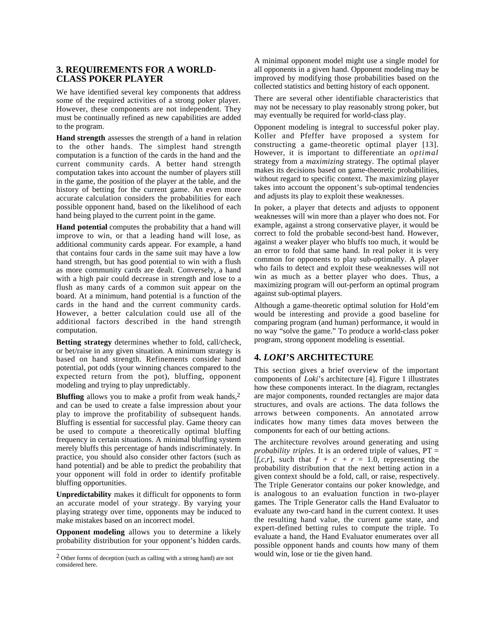## **3. REQUIREMENTS FOR A WORLD-CLASS POKER PLAYER**

We have identified several key components that address some of the required activities of a strong poker player. However, these components are not independent. They must be continually refined as new capabilities are added to the program.

**Hand strength** assesses the strength of a hand in relation to the other hands. The simplest hand strength computation is a function of the cards in the hand and the current community cards. A better hand strength computation takes into account the number of players still in the game, the position of the player at the table, and the history of betting for the current game. An even more accurate calculation considers the probabilities for each possible opponent hand, based on the likelihood of each hand being played to the current point in the game.

**Hand potential** computes the probability that a hand will improve to win, or that a leading hand will lose, as additional community cards appear. For example, a hand that contains four cards in the same suit may have a low hand strength, but has good potential to win with a flush as more community cards are dealt. Conversely, a hand with a high pair could decrease in strength and lose to a flush as many cards of a common suit appear on the board. At a minimum, hand potential is a function of the cards in the hand and the current community cards. However, a better calculation could use all of the additional factors described in the hand strength computation.

**Betting strategy** determines whether to fold, call/check, or bet/raise in any given situation. A minimum strategy is based on hand strength. Refinements consider hand potential, pot odds (your winning chances compared to the expected return from the pot), bluffing, opponent modeling and trying to play unpredictably.

**Bluffing** allows you to make a profit from weak hands,<sup>2</sup> and can be used to create a false impression about your play to improve the profitability of subsequent hands. Bluffing is essential for successful play. Game theory can be used to compute a theoretically optimal bluffing frequency in certain situations. A minimal bluffing system merely bluffs this percentage of hands indiscriminately. In practice, you should also consider other factors (such as hand potential) and be able to predict the probability that your opponent will fold in order to identify profitable bluffing opportunities.

**Unpredictability** makes it difficult for opponents to form an accurate model of your strategy. By varying your playing strategy over time, opponents may be induced to make mistakes based on an incorrect model.

**Opponent modeling** allows you to determine a likely probability distribution for your opponent's hidden cards.

 $\overline{a}$ 

A minimal opponent model might use a single model for all opponents in a given hand. Opponent modeling may be improved by modifying those probabilities based on the collected statistics and betting history of each opponent.

There are several other identifiable characteristics that may not be necessary to play reasonably strong poker, but may eventually be required for world-class play.

Opponent modeling is integral to successful poker play. Koller and Pfeffer have proposed a system for constructing a game-theoretic optimal player [13]. However, it is important to differentiate an *optimal* strategy from a *maximizing* strategy. The optimal player makes its decisions based on game-theoretic probabilities, without regard to specific context. The maximizing player takes into account the opponent's sub-optimal tendencies and adjusts its play to exploit these weaknesses.

In poker, a player that detects and adjusts to opponent weaknesses will win more than a player who does not. For example, against a strong conservative player, it would be correct to fold the probable second-best hand. However, against a weaker player who bluffs too much, it would be an error to fold that same hand. In real poker it is very common for opponents to play sub-optimally. A player who fails to detect and exploit these weaknesses will not win as much as a better player who does. Thus, a maximizing program will out-perform an optimal program against sub-optimal players.

Although a game-theoretic optimal solution for Hold'em would be interesting and provide a good baseline for comparing program (and human) performance, it would in no way "solve the game." To produce a world-class poker program, strong opponent modeling is essential.

# **4.** *LOKI***'S ARCHITECTURE**

This section gives a brief overview of the important components of *Loki*'s architecture [4]. Figure 1 illustrates how these components interact. In the diagram, rectangles are major components, rounded rectangles are major data structures, and ovals are actions. The data follows the arrows between components. An annotated arrow indicates how many times data moves between the components for each of our betting actions.

The architecture revolves around generating and using *probability triples*. It is an ordered triple of values, PT =  $[f, c, r]$ , such that  $f + c + r = 1.0$ , representing the probability distribution that the next betting action in a given context should be a fold, call, or raise, respectively. The Triple Generator contains our poker knowledge, and is analogous to an evaluation function in two-player games. The Triple Generator calls the Hand Evaluator to evaluate any two-card hand in the current context. It uses the resulting hand value, the current game state, and expert-defined betting rules to compute the triple. To evaluate a hand, the Hand Evaluator enumerates over all possible opponent hands and counts how many of them would win, lose or tie the given hand.

<sup>2</sup> Other forms of deception (such as calling with a strong hand) are not considered here.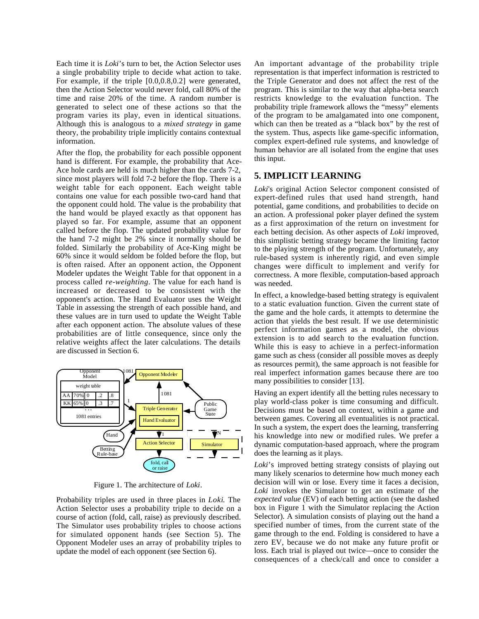Each time it is *Loki*'s turn to bet, the Action Selector uses a single probability triple to decide what action to take. For example, if the triple [0.0,0.8,0.2] were generated, then the Action Selector would never fold, call 80% of the time and raise 20% of the time. A random number is generated to select one of these actions so that the program varies its play, even in identical situations. Although this is analogous to a *mixed strategy* in game theory, the probability triple implicitly contains contextual information.

After the flop, the probability for each possible opponent hand is different. For example, the probability that Ace-Ace hole cards are held is much higher than the cards 7-2, since most players will fold 7-2 before the flop. There is a weight table for each opponent. Each weight table contains one value for each possible two-card hand that the opponent could hold. The value is the probability that the hand would be played exactly as that opponent has played so far. For example, assume that an opponent called before the flop. The updated probability value for the hand 7-2 might be 2% since it normally should be folded. Similarly the probability of Ace-King might be 60% since it would seldom be folded before the flop, but is often raised. After an opponent action, the Opponent Modeler updates the Weight Table for that opponent in a process called *re-weighting*. The value for each hand is increased or decreased to be consistent with the opponent's action. The Hand Evaluator uses the Weight Table in assessing the strength of each possible hand, and these values are in turn used to update the Weight Table after each opponent action. The absolute values of these probabilities are of little consequence, since only the relative weights affect the later calculations. The details are discussed in Section 6.



Figure 1. The architecture of *Loki*.

Probability triples are used in three places in *Loki*. The Action Selector uses a probability triple to decide on a course of action (fold, call, raise) as previously described. The Simulator uses probability triples to choose actions for simulated opponent hands (see Section 5). The Opponent Modeler uses an array of probability triples to update the model of each opponent (see Section 6).

An important advantage of the probability triple representation is that imperfect information is restricted to the Triple Generator and does not affect the rest of the program. This is similar to the way that alpha-beta search restricts knowledge to the evaluation function. The probability triple framework allows the "messy" elements of the program to be amalgamated into one component, which can then be treated as a "black box" by the rest of the system. Thus, aspects like game-specific information, complex expert-defined rule systems, and knowledge of human behavior are all isolated from the engine that uses this input.

## **5. IMPLICIT LEARNING**

*Loki*'s original Action Selector component consisted of expert-defined rules that used hand strength, hand potential, game conditions, and probabilities to decide on an action. A professional poker player defined the system as a first approximation of the return on investment for each betting decision. As other aspects of *Loki* improved, this simplistic betting strategy became the limiting factor to the playing strength of the program. Unfortunately, any rule-based system is inherently rigid, and even simple changes were difficult to implement and verify for correctness. A more flexible, computation-based approach was needed.

In effect, a knowledge-based betting strategy is equivalent to a static evaluation function. Given the current state of the game and the hole cards, it attempts to determine the action that yields the best result. If we use deterministic perfect information games as a model, the obvious extension is to add search to the evaluation function. While this is easy to achieve in a perfect-information game such as chess (consider all possible moves as deeply as resources permit), the same approach is not feasible for real imperfect information games because there are too many possibilities to consider [13].

Having an expert identify all the betting rules necessary to play world-class poker is time consuming and difficult. Decisions must be based on context, within a game and between games. Covering all eventualities is not practical. In such a system, the expert does the learning, transferring his knowledge into new or modified rules. We prefer a dynamic computation-based approach, where the program does the learning as it plays.

*Loki*'s improved betting strategy consists of playing out many likely scenarios to determine how much money each decision will win or lose. Every time it faces a decision, *Loki* invokes the Simulator to get an estimate of the *expected value* (EV) of each betting action (see the dashed box in Figure 1 with the Simulator replacing the Action Selector). A simulation consists of playing out the hand a specified number of times, from the current state of the game through to the end. Folding is considered to have a zero EV, because we do not make any future profit or loss. Each trial is played out twice—once to consider the consequences of a check/call and once to consider a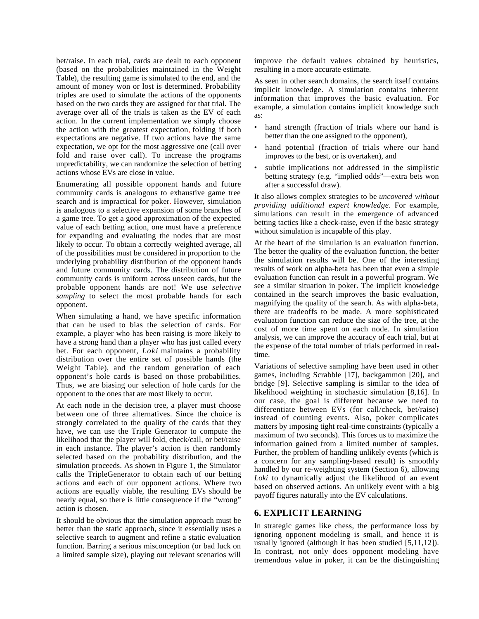bet/raise. In each trial, cards are dealt to each opponent (based on the probabilities maintained in the Weight Table), the resulting game is simulated to the end, and the amount of money won or lost is determined. Probability triples are used to simulate the actions of the opponents based on the two cards they are assigned for that trial. The average over all of the trials is taken as the EV of each action. In the current implementation we simply choose the action with the greatest expectation, folding if both expectations are negative. If two actions have the same expectation, we opt for the most aggressive one (call over fold and raise over call). To increase the programs unpredictability, we can randomize the selection of betting actions whose EVs are close in value.

Enumerating all possible opponent hands and future community cards is analogous to exhaustive game tree search and is impractical for poker. However, simulation is analogous to a selective expansion of some branches of a game tree. To get a good approximation of the expected value of each betting action, one must have a preference for expanding and evaluating the nodes that are most likely to occur. To obtain a correctly weighted average, all of the possibilities must be considered in proportion to the underlying probability distribution of the opponent hands and future community cards. The distribution of future community cards is uniform across unseen cards, but the probable opponent hands are not! We use *selective sampling* to select the most probable hands for each opponent.

When simulating a hand, we have specific information that can be used to bias the selection of cards. For example, a player who has been raising is more likely to have a strong hand than a player who has just called every bet. For each opponent, *Loki* maintains a probability distribution over the entire set of possible hands (the Weight Table), and the random generation of each opponent's hole cards is based on those probabilities. Thus, we are biasing our selection of hole cards for the opponent to the ones that are most likely to occur.

At each node in the decision tree, a player must choose between one of three alternatives. Since the choice is strongly correlated to the quality of the cards that they have, we can use the Triple Generator to compute the likelihood that the player will fold, check/call, or bet/raise in each instance. The player's action is then randomly selected based on the probability distribution, and the simulation proceeds. As shown in Figure 1, the Simulator calls the TripleGenerator to obtain each of our betting actions and each of our opponent actions. Where two actions are equally viable, the resulting EVs should be nearly equal, so there is little consequence if the "wrong" action is chosen.

It should be obvious that the simulation approach must be better than the static approach, since it essentially uses a selective search to augment and refine a static evaluation function. Barring a serious misconception (or bad luck on a limited sample size), playing out relevant scenarios will

improve the default values obtained by heuristics, resulting in a more accurate estimate.

As seen in other search domains, the search itself contains implicit knowledge. A simulation contains inherent information that improves the basic evaluation. For example, a simulation contains implicit knowledge such as:

- hand strength (fraction of trials where our hand is better than the one assigned to the opponent),
- hand potential (fraction of trials where our hand improves to the best, or is overtaken), and
- subtle implications not addressed in the simplistic betting strategy (e.g. "implied odds"—extra bets won after a successful draw).

It also allows complex strategies to be *uncovered without providing additional expert knowledge*. For example, simulations can result in the emergence of advanced betting tactics like a check-raise, even if the basic strategy without simulation is incapable of this play.

At the heart of the simulation is an evaluation function. The better the quality of the evaluation function, the better the simulation results will be. One of the interesting results of work on alpha-beta has been that even a simple evaluation function can result in a powerful program. We see a similar situation in poker. The implicit knowledge contained in the search improves the basic evaluation, magnifying the quality of the search. As with alpha-beta, there are tradeoffs to be made. A more sophisticated evaluation function can reduce the size of the tree, at the cost of more time spent on each node. In simulation analysis, we can improve the accuracy of each trial, but at the expense of the total number of trials performed in realtime.

Variations of selective sampling have been used in other games, including Scrabble [17], backgammon [20], and bridge [9]. Selective sampling is similar to the idea of likelihood weighting in stochastic simulation [8,16]. In our case, the goal is different because we need to differentiate between EVs (for call/check, bet/raise) instead of counting events. Also, poker complicates matters by imposing tight real-time constraints (typically a maximum of two seconds). This forces us to maximize the information gained from a limited number of samples. Further, the problem of handling unlikely events (which is a concern for any sampling-based result) is smoothly handled by our re-weighting system (Section 6), allowing *Loki* to dynamically adjust the likelihood of an event based on observed actions. An unlikely event with a big payoff figures naturally into the EV calculations.

#### **6. EXPLICIT LEARNING**

In strategic games like chess, the performance loss by ignoring opponent modeling is small, and hence it is usually ignored (although it has been studied [5,11,12]). In contrast, not only does opponent modeling have tremendous value in poker, it can be the distinguishing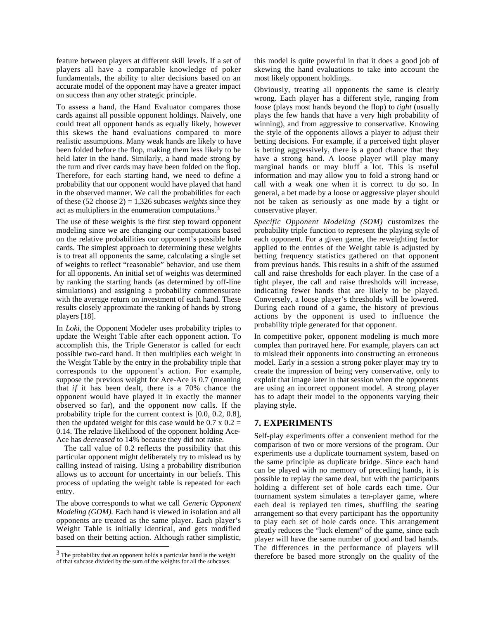feature between players at different skill levels. If a set of players all have a comparable knowledge of poker fundamentals, the ability to alter decisions based on an accurate model of the opponent may have a greater impact on success than any other strategic principle.

To assess a hand, the Hand Evaluator compares those cards against all possible opponent holdings. Naively, one could treat all opponent hands as equally likely, however this skews the hand evaluations compared to more realistic assumptions. Many weak hands are likely to have been folded before the flop, making them less likely to be held later in the hand. Similarly, a hand made strong by the turn and river cards may have been folded on the flop. Therefore, for each starting hand, we need to define a probability that our opponent would have played that hand in the observed manner. We call the probabilities for each of these (52 choose 2) = 1,326 subcases *weights* since they act as multipliers in the enumeration computations.<sup>3</sup>

The use of these weights is the first step toward opponent modeling since we are changing our computations based on the relative probabilities our opponent's possible hole cards. The simplest approach to determining these weights is to treat all opponents the same, calculating a single set of weights to reflect "reasonable" behavior, and use them for all opponents. An initial set of weights was determined by ranking the starting hands (as determined by off-line simulations) and assigning a probability commensurate with the average return on investment of each hand. These results closely approximate the ranking of hands by strong players [18].

In *Loki*, the Opponent Modeler uses probability triples to update the Weight Table after each opponent action. To accomplish this, the Triple Generator is called for each possible two-card hand. It then multiplies each weight in the Weight Table by the entry in the probability triple that corresponds to the opponent's action. For example, suppose the previous weight for Ace-Ace is 0.7 (meaning that *if* it has been dealt, there is a 70% chance the opponent would have played it in exactly the manner observed so far), and the opponent now calls. If the probability triple for the current context is [0.0, 0.2, 0.8], then the updated weight for this case would be  $0.7 \times 0.2 =$ 0.14. The relative likelihood of the opponent holding Ace-Ace has *decreased* to 14% because they did not raise.

The call value of 0.2 reflects the possibility that this particular opponent might deliberately try to mislead us by calling instead of raising. Using a probability distribution allows us to account for uncertainty in our beliefs. This process of updating the weight table is repeated for each entry.

The above corresponds to what we call *Generic Opponent Modeling (GOM).* Each hand is viewed in isolation and all opponents are treated as the same player. Each player's Weight Table is initially identical, and gets modified based on their betting action. Although rather simplistic,

 $\overline{a}$ 

this model is quite powerful in that it does a good job of skewing the hand evaluations to take into account the most likely opponent holdings.

Obviously, treating all opponents the same is clearly wrong. Each player has a different style, ranging from *loose* (plays most hands beyond the flop) to *tight* (usually plays the few hands that have a very high probability of winning), and from aggressive to conservative. Knowing the style of the opponents allows a player to adjust their betting decisions. For example, if a perceived tight player is betting aggressively, there is a good chance that they have a strong hand. A loose player will play many marginal hands or may bluff a lot. This is useful information and may allow you to fold a strong hand or call with a weak one when it is correct to do so. In general, a bet made by a loose or aggressive player should not be taken as seriously as one made by a tight or conservative player.

*Specific Opponent Modeling (SOM)* customizes the probability triple function to represent the playing style of each opponent. For a given game, the reweighting factor applied to the entries of the Weight table is adjusted by betting frequency statistics gathered on that opponent from previous hands. This results in a shift of the assumed call and raise thresholds for each player. In the case of a tight player, the call and raise thresholds will increase, indicating fewer hands that are likely to be played. Conversely, a loose player's thresholds will be lowered. During each round of a game, the history of previous actions by the opponent is used to influence the probability triple generated for that opponent.

In competitive poker, opponent modeling is much more complex than portrayed here. For example, players can act to mislead their opponents into constructing an erroneous model. Early in a session a strong poker player may try to create the impression of being very conservative, only to exploit that image later in that session when the opponents are using an incorrect opponent model. A strong player has to adapt their model to the opponents varying their playing style.

## **7. EXPERIMENTS**

Self-play experiments offer a convenient method for the comparison of two or more versions of the program. Our experiments use a duplicate tournament system, based on the same principle as duplicate bridge. Since each hand can be played with no memory of preceding hands, it is possible to replay the same deal, but with the participants holding a different set of hole cards each time. Our tournament system simulates a ten-player game, where each deal is replayed ten times, shuffling the seating arrangement so that every participant has the opportunity to play each set of hole cards once. This arrangement greatly reduces the "luck element" of the game, since each player will have the same number of good and bad hands. The differences in the performance of players will therefore be based more strongly on the quality of the

<sup>3</sup> The probability that an opponent holds a particular hand is the weight of that subcase divided by the sum of the weights for all the subcases.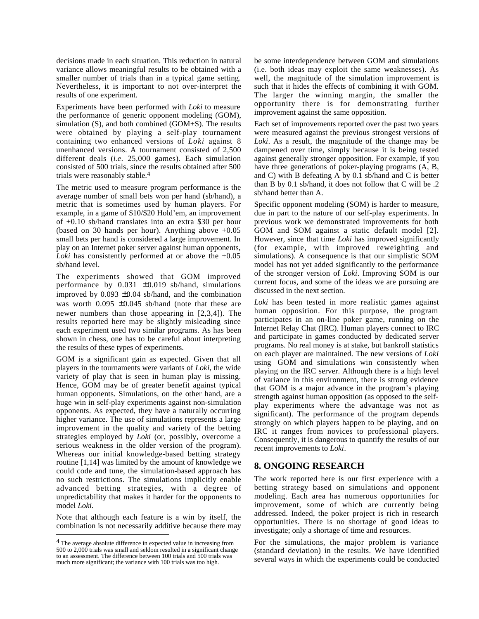decisions made in each situation. This reduction in natural variance allows meaningful results to be obtained with a smaller number of trials than in a typical game setting. Nevertheless, it is important to not over-interpret the results of one experiment.

Experiments have been performed with *Loki* to measure the performance of generic opponent modeling (GOM), simulation (S), and both combined (GOM+S). The results were obtained by playing a self-play tournament containing two enhanced versions of *Loki* against 8 unenhanced versions. A tournament consisted of 2,500 different deals (*i.e*. 25,000 games). Each simulation consisted of 500 trials, since the results obtained after 500 trials were reasonably stable.<sup>4</sup>

The metric used to measure program performance is the average number of small bets won per hand (sb/hand), a metric that is sometimes used by human players. For example, in a game of \$10/\$20 Hold'em, an improvement of +0.10 sb/hand translates into an extra \$30 per hour (based on 30 hands per hour). Anything above  $+0.05$ small bets per hand is considered a large improvement. In play on an Internet poker server against human opponents, *Loki* has consistently performed at or above the +0.05 sb/hand level.

The experiments showed that GOM improved performance by  $0.031 \pm 0.019$  sb/hand, simulations improved by  $0.093 \pm 0.04$  sb/hand, and the combination was worth  $0.095 \pm 0.045$  sb/hand (note that these are newer numbers than those appearing in [2,3,4]). The results reported here may be slightly misleading since each experiment used two similar programs. As has been shown in chess, one has to be careful about interpreting the results of these types of experiments.

GOM is a significant gain as expected. Given that all players in the tournaments were variants of *Loki*, the wide variety of play that is seen in human play is missing. Hence, GOM may be of greater benefit against typical human opponents. Simulations, on the other hand, are a huge win in self-play experiments against non-simulation opponents. As expected, they have a naturally occurring higher variance. The use of simulations represents a large improvement in the quality and variety of the betting strategies employed by *Loki* (or, possibly, overcome a serious weakness in the older version of the program). Whereas our initial knowledge-based betting strategy routine [1,14] was limited by the amount of knowledge we could code and tune, the simulation-based approach has no such restrictions. The simulations implicitly enable advanced betting strategies, with a degree of unpredictability that makes it harder for the opponents to model *Loki*.

Note that although each feature is a win by itself, the combination is not necessarily additive because there may

 $\overline{a}$ 

be some interdependence between GOM and simulations (i.e. both ideas may exploit the same weaknesses). As well, the magnitude of the simulation improvement is such that it hides the effects of combining it with GOM. The larger the winning margin, the smaller the opportunity there is for demonstrating further improvement against the same opposition.

Each set of improvements reported over the past two years were measured against the previous strongest versions of *Loki*. As a result, the magnitude of the change may be dampened over time, simply because it is being tested against generally stronger opposition. For example, if you have three generations of poker-playing programs (A, B, and C) with B defeating A by 0.1 sb/hand and C is better than B by 0.1 sb/hand, it does not follow that C will be .2 sb/hand better than A.

Specific opponent modeling (SOM) is harder to measure, due in part to the nature of our self-play experiments. In previous work we demonstrated improvements for both GOM and SOM against a static default model [2]. However, since that time *Loki* has improved significantly (for example, with improved reweighting and simulations). A consequence is that our simplistic SOM model has not yet added significantly to the performance of the stronger version of *Loki*. Improving SOM is our current focus, and some of the ideas we are pursuing are discussed in the next section.

*Loki* has been tested in more realistic games against human opposition. For this purpose, the program participates in an on-line poker game, running on the Internet Relay Chat (IRC). Human players connect to IRC and participate in games conducted by dedicated server programs. No real money is at stake, but bankroll statistics on each player are maintained. The new versions of *Loki* using GOM and simulations win consistently when playing on the IRC server. Although there is a high level of variance in this environment, there is strong evidence that GOM is a major advance in the program's playing strength against human opposition (as opposed to the selfplay experiments where the advantage was not as significant). The performance of the program depends strongly on which players happen to be playing, and on IRC it ranges from novices to professional players. Consequently, it is dangerous to quantify the results of our recent improvements to *Loki*.

## **8. ONGOING RESEARCH**

The work reported here is our first experience with a betting strategy based on simulations and opponent modeling. Each area has numerous opportunities for improvement, some of which are currently being addressed. Indeed, the poker project is rich in research opportunities. There is no shortage of good ideas to investigate; only a shortage of time and resources.

For the simulations, the major problem is variance (standard deviation) in the results. We have identified several ways in which the experiments could be conducted

<sup>4</sup> The average absolute difference in expected value in increasing from 500 to 2,000 trials was small and seldom resulted in a significant change to an assessment. The difference between 100 trials and 500 trials was much more significant; the variance with 100 trials was too high.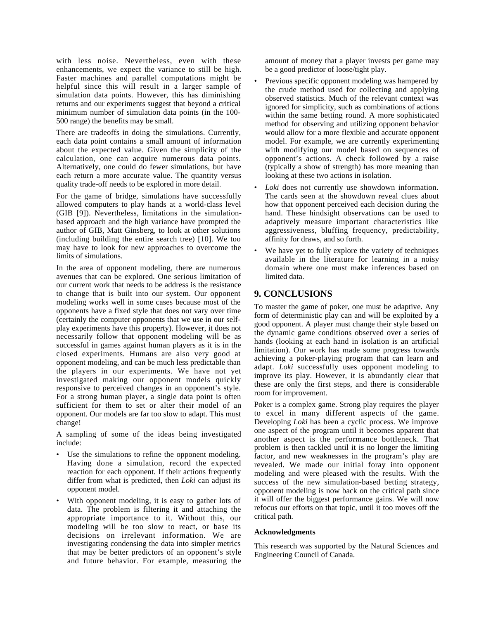with less noise. Nevertheless, even with these enhancements, we expect the variance to still be high. Faster machines and parallel computations might be helpful since this will result in a larger sample of simulation data points. However, this has diminishing returns and our experiments suggest that beyond a critical minimum number of simulation data points (in the 100- 500 range) the benefits may be small.

There are tradeoffs in doing the simulations. Currently, each data point contains a small amount of information about the expected value. Given the simplicity of the calculation, one can acquire numerous data points. Alternatively, one could do fewer simulations, but have each return a more accurate value. The quantity versus quality trade-off needs to be explored in more detail.

For the game of bridge, simulations have successfully allowed computers to play hands at a world-class level (GIB [9]). Nevertheless, limitations in the simulationbased approach and the high variance have prompted the author of GIB, Matt Ginsberg, to look at other solutions (including building the entire search tree) [10]. We too may have to look for new approaches to overcome the limits of simulations.

In the area of opponent modeling, there are numerous avenues that can be explored. One serious limitation of our current work that needs to be address is the resistance to change that is built into our system. Our opponent modeling works well in some cases because most of the opponents have a fixed style that does not vary over time (certainly the computer opponents that we use in our selfplay experiments have this property). However, it does not necessarily follow that opponent modeling will be as successful in games against human players as it is in the closed experiments. Humans are also very good at opponent modeling, and can be much less predictable than the players in our experiments. We have not yet investigated making our opponent models quickly responsive to perceived changes in an opponent's style. For a strong human player, a single data point is often sufficient for them to set or alter their model of an opponent. Our models are far too slow to adapt. This must change!

A sampling of some of the ideas being investigated include:

- Use the simulations to refine the opponent modeling. Having done a simulation, record the expected reaction for each opponent. If their actions frequently differ from what is predicted, then *Loki* can adjust its opponent model.
- With opponent modeling, it is easy to gather lots of data. The problem is filtering it and attaching the appropriate importance to it. Without this, our modeling will be too slow to react, or base its decisions on irrelevant information. We are investigating condensing the data into simpler metrics that may be better predictors of an opponent's style and future behavior. For example, measuring the

amount of money that a player invests per game may be a good predictor of loose/tight play.

- Previous specific opponent modeling was hampered by the crude method used for collecting and applying observed statistics. Much of the relevant context was ignored for simplicity, such as combinations of actions within the same betting round. A more sophisticated method for observing and utilizing opponent behavior would allow for a more flexible and accurate opponent model. For example, we are currently experimenting with modifying our model based on sequences of opponent's actions. A check followed by a raise (typically a show of strength) has more meaning than looking at these two actions in isolation.
- Loki does not currently use showdown information. The cards seen at the showdown reveal clues about how that opponent perceived each decision during the hand. These hindsight observations can be used to adaptively measure important characteristics like aggressiveness, bluffing frequency, predictability, affinity for draws, and so forth.
- We have yet to fully explore the variety of techniques available in the literature for learning in a noisy domain where one must make inferences based on limited data.

## **9. CONCLUSIONS**

To master the game of poker, one must be adaptive. Any form of deterministic play can and will be exploited by a good opponent. A player must change their style based on the dynamic game conditions observed over a series of hands (looking at each hand in isolation is an artificial limitation). Our work has made some progress towards achieving a poker-playing program that can learn and adapt. *Loki* successfully uses opponent modeling to improve its play. However, it is abundantly clear that these are only the first steps, and there is considerable room for improvement.

Poker is a complex game. Strong play requires the player to excel in many different aspects of the game. Developing *Loki* has been a cyclic process. We improve one aspect of the program until it becomes apparent that another aspect is the performance bottleneck. That problem is then tackled until it is no longer the limiting factor, and new weaknesses in the program's play are revealed. We made our initial foray into opponent modeling and were pleased with the results. With the success of the new simulation-based betting strategy, opponent modeling is now back on the critical path since it will offer the biggest performance gains. We will now refocus our efforts on that topic, until it too moves off the critical path.

#### **Acknowledgments**

This research was supported by the Natural Sciences and Engineering Council of Canada.